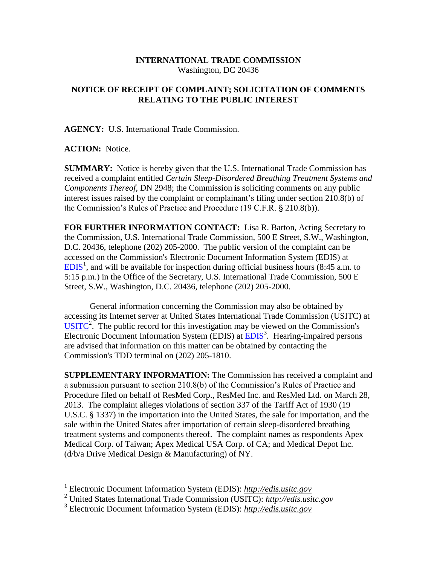## **INTERNATIONAL TRADE COMMISSION** Washington, DC 20436

## **NOTICE OF RECEIPT OF COMPLAINT; SOLICITATION OF COMMENTS RELATING TO THE PUBLIC INTEREST**

**AGENCY:** U.S. International Trade Commission.

**ACTION:** Notice.

 $\overline{a}$ 

**SUMMARY:** Notice is hereby given that the U.S. International Trade Commission has received a complaint entitled *Certain Sleep-Disordered Breathing Treatment Systems and Components Thereof,* DN 2948; the Commission is soliciting comments on any public interest issues raised by the complaint or complainant's filing under section 210.8(b) of the Commission's Rules of Practice and Procedure (19 C.F.R. § 210.8(b)).

**FOR FURTHER INFORMATION CONTACT:** Lisa R. Barton, Acting Secretary to the Commission, U.S. International Trade Commission, 500 E Street, S.W., Washington, D.C. 20436, telephone (202) 205-2000. The public version of the complaint can be accessed on the Commission's Electronic Document Information System (EDIS) at  $EDIS<sup>1</sup>$ , and will be available for inspection during official business hours (8:45 a.m. to 5:15 p.m.) in the Office of the Secretary, U.S. International Trade Commission, 500 E Street, S.W., Washington, D.C. 20436, telephone (202) 205-2000.

General information concerning the Commission may also be obtained by accessing its Internet server at United States International Trade Commission (USITC) at  $\overline{USTTC}^2$ . The public record for this investigation may be viewed on the Commission's Electronic Document Information System (EDIS) at **EDIS**<sup>3</sup>. Hearing-impaired persons are advised that information on this matter can be obtained by contacting the Commission's TDD terminal on (202) 205-1810.

**SUPPLEMENTARY INFORMATION:** The Commission has received a complaint and a submission pursuant to section 210.8(b) of the Commission's Rules of Practice and Procedure filed on behalf of ResMed Corp., ResMed Inc. and ResMed Ltd. on March 28, 2013. The complaint alleges violations of section 337 of the Tariff Act of 1930 (19 U.S.C. § 1337) in the importation into the United States, the sale for importation, and the sale within the United States after importation of certain sleep-disordered breathing treatment systems and components thereof. The complaint names as respondents Apex Medical Corp. of Taiwan; Apex Medical USA Corp. of CA; and Medical Depot Inc. (d/b/a Drive Medical Design & Manufacturing) of NY.

<sup>1</sup> Electronic Document Information System (EDIS): *http://edis.usitc.gov*

<sup>2</sup> United States International Trade Commission (USITC): *http://edis.usitc.gov*

<sup>3</sup> Electronic Document Information System (EDIS): *http://edis.usitc.gov*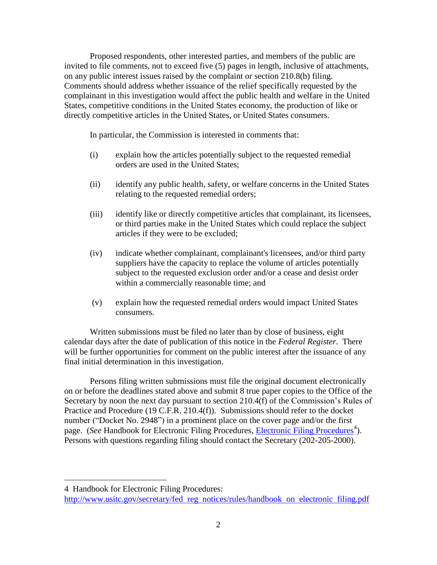Proposed respondents, other interested parties, and members of the public are invited to file comments, not to exceed five (5) pages in length, inclusive of attachments, on any public interest issues raised by the complaint or section 210.8(b) filing. Comments should address whether issuance of the relief specifically requested by the complainant in this investigation would affect the public health and welfare in the United States, competitive conditions in the United States economy, the production of like or directly competitive articles in the United States, or United States consumers.

In particular, the Commission is interested in comments that:

- (i) explain how the articles potentially subject to the requested remedial orders are used in the United States;
- (ii) identify any public health, safety, or welfare concerns in the United States relating to the requested remedial orders;
- (iii) identify like or directly competitive articles that complainant, its licensees, or third parties make in the United States which could replace the subject articles if they were to be excluded;
- (iv) indicate whether complainant, complainant's licensees, and/or third party suppliers have the capacity to replace the volume of articles potentially subject to the requested exclusion order and/or a cease and desist order within a commercially reasonable time; and
- (v) explain how the requested remedial orders would impact United States consumers.

Written submissions must be filed no later than by close of business, eight calendar days after the date of publication of this notice in the *Federal Register*. There will be further opportunities for comment on the public interest after the issuance of any final initial determination in this investigation.

Persons filing written submissions must file the original document electronically on or before the deadlines stated above and submit 8 true paper copies to the Office of the Secretary by noon the next day pursuant to section 210.4(f) of the Commission's Rules of Practice and Procedure (19 C.F.R. 210.4(f)). Submissions should refer to the docket number ("Docket No. 2948") in a prominent place on the cover page and/or the first page. (*See* Handbook for Electronic Filing Procedures, *Electronic Filing Procedures*<sup>4</sup>). Persons with questions regarding filing should contact the Secretary (202-205-2000).

 $\overline{a}$ 

<sup>4</sup> Handbook for Electronic Filing Procedures:

http://www.usitc.gov/secretary/fed reg notices/rules/handbook on electronic filing.pdf